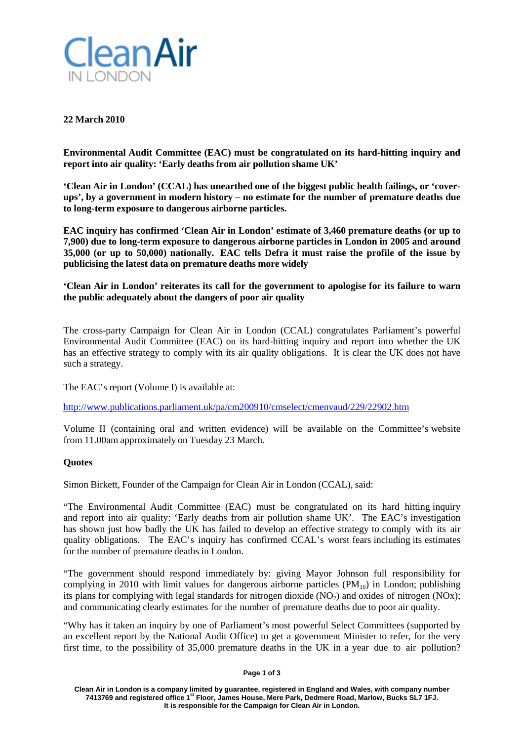

# **22 March 2010**

**Environmental Audit Committee (EAC) must be congratulated on its hard-hitting inquiry and report into air quality: 'Early deaths from air pollution shame UK'**

**'Clean Air in London' (CCAL) has unearthed one of the biggest public health failings, or 'coverups', by a government in modern history – no estimate for the number of premature deaths due to long-term exposure to dangerous airborne particles.**

**EAC inquiry has confirmed 'Clean Air in London' estimate of 3,460 premature deaths (or up to 7,900) due to long-term exposure to dangerous airborne particles in London in 2005 and around 35,000 (or up to 50,000) nationally. EAC tells Defra it must raise the profile of the issue by publicising the latest data on premature deaths more widely**

**'Clean Air in London' reiterates its call for the government to apologise for its failure to warn the public adequately about the dangers of poor air quality**

The cross-party Campaign for Clean Air in London (CCAL) congratulates Parliament's powerful Environmental Audit Committee (EAC) on its hard-hitting inquiry and report into whether the UK has an effective strategy to comply with its air quality obligations. It is clear the UK does not have such a strategy.

The EAC's report (Volume I) is available at:

<http://www.publications.parliament.uk/pa/cm200910/cmselect/cmenvaud/229/22902.htm>

Volume II (containing oral and written evidence) will be available on the Committee's website from 11.00am approximately on Tuesday 23 March.

## **Quotes**

Simon Birkett, Founder of the Campaign for Clean Air in London (CCAL), said:

"The Environmental Audit Committee (EAC) must be congratulated on its hard hitting inquiry and report into air quality: 'Early deaths from air pollution shame UK'. The EAC's investigation has shown just how badly the UK has failed to develop an effective strategy to comply with its air quality obligations. The EAC's inquiry has confirmed CCAL's worst fears including its estimates for the number of premature deaths in London.

"The government should respond immediately by: giving Mayor Johnson full responsibility for complying in 2010 with limit values for dangerous airborne particles  $(PM_{10})$  in London; publishing its plans for complying with legal standards for nitrogen dioxide  $(NO<sub>2</sub>)$  and oxides of nitrogen  $(NO<sub>X</sub>)$ ; and communicating clearly estimates for the number of premature deaths due to poor air quality.

"Why has it taken an inquiry by one of Parliament's most powerful Select Committees (supported by an excellent report by the National Audit Office) to get a government Minister to refer, for the very first time, to the possibility of 35,000 premature deaths in the UK in a year due to air pollution?

#### **Page 1 of 3**

**Clean Air in London is a company limited by guarantee, registered in England and Wales, with company number 7413769 and registered office 1st Floor, James House, Mere Park, Dedmere Road, Marlow, Bucks SL7 1FJ. It is responsible for the Campaign for Clean Air in London.**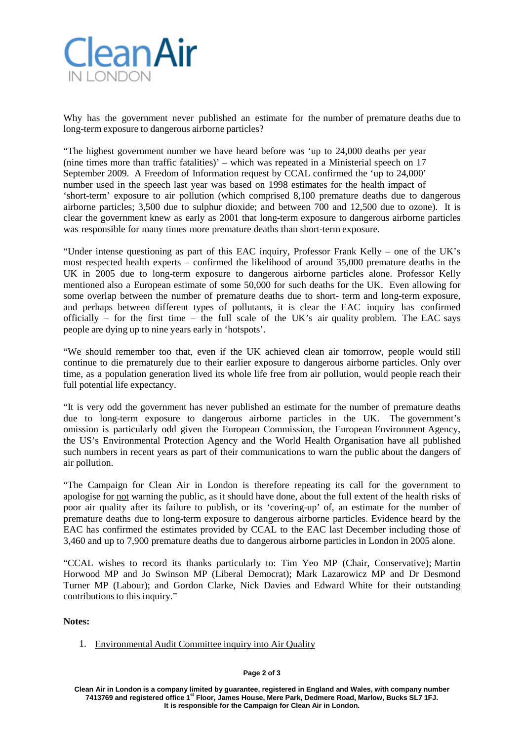

Why has the government never published an estimate for the number of premature deaths due to long-term exposure to dangerous airborne particles?

"The highest government number we have heard before was 'up to 24,000 deaths per year (nine times more than traffic fatalities)' – which was repeated in a Ministerial speech on 17 September 2009. A Freedom of Information request by CCAL confirmed the 'up to 24,000' number used in the speech last year was based on 1998 estimates for the health impact of 'short-term' exposure to air pollution (which comprised 8,100 premature deaths due to dangerous airborne particles; 3,500 due to sulphur dioxide; and between 700 and 12,500 due to ozone). It is clear the government knew as early as 2001 that long-term exposure to dangerous airborne particles was responsible for many times more premature deaths than short-term exposure.

"Under intense questioning as part of this EAC inquiry, Professor Frank Kelly – one of the UK's most respected health experts – confirmed the likelihood of around 35,000 premature deaths in the UK in 2005 due to long-term exposure to dangerous airborne particles alone. Professor Kelly mentioned also a European estimate of some 50,000 for such deaths for the UK. Even allowing for some overlap between the number of premature deaths due to short- term and long-term exposure, and perhaps between different types of pollutants, it is clear the EAC inquiry has confirmed officially – for the first time – the full scale of the UK's air quality problem. The EAC says people are dying up to nine years early in 'hotspots'.

"We should remember too that, even if the UK achieved clean air tomorrow, people would still continue to die prematurely due to their earlier exposure to dangerous airborne particles. Only over time, as a population generation lived its whole life free from air pollution, would people reach their full potential life expectancy.

"It is very odd the government has never published an estimate for the number of premature deaths due to long-term exposure to dangerous airborne particles in the UK. The government's omission is particularly odd given the European Commission, the European Environment Agency, the US's Environmental Protection Agency and the World Health Organisation have all published such numbers in recent years as part of their communications to warn the public about the dangers of air pollution.

"The Campaign for Clean Air in London is therefore repeating its call for the government to apologise for not warning the public, as it should have done, about the full extent of the health risks of poor air quality after its failure to publish, or its 'covering-up' of, an estimate for the number of premature deaths due to long-term exposure to dangerous airborne particles. Evidence heard by the EAC has confirmed the estimates provided by CCAL to the EAC last December including those of 3,460 and up to 7,900 premature deaths due to dangerous airborne particles in London in 2005 alone.

"CCAL wishes to record its thanks particularly to: Tim Yeo MP (Chair, Conservative); Martin Horwood MP and Jo Swinson MP (Liberal Democrat); Mark Lazarowicz MP and Dr Desmond Turner MP (Labour); and Gordon Clarke, Nick Davies and Edward White for their outstanding contributions to this inquiry."

### **Notes:**

1. Environmental Audit Committee inquiry into Air Quality

#### **Page 2 of 3**

**Clean Air in London is a company limited by guarantee, registered in England and Wales, with company number 7413769 and registered office 1st Floor, James House, Mere Park, Dedmere Road, Marlow, Bucks SL7 1FJ. It is responsible for the Campaign for Clean Air in London.**